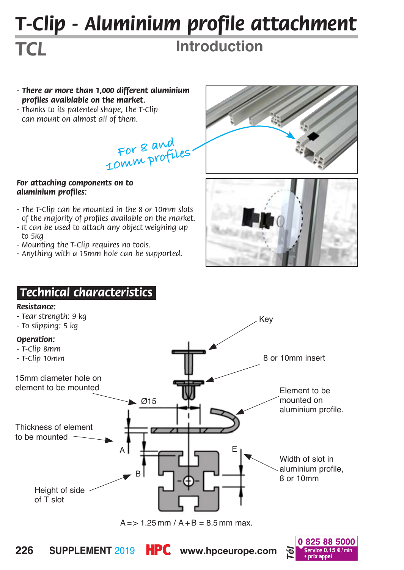# *T-Clip - Aluminium profile attachment*

## **Introduction**

- *There ar more than 1,000 different aluminium profiles avaiblable on the market.*
- *Thanks to its patented shape, the T-Clip can mount on almost all of them.*

**For 8 and 10mm profiles**

#### *For attaching components on to aluminium profiles:*

- *The T-Clip can be mounted in the 8 or 10mm slots of the majority of profiles available on the market.*
- *- It can be used to attach any object weighing up to 5Kg*
- *Mounting the T-Clip requires no tools.*
- *Anything with a 15mm hole can be supported.*





### *.Technical characteristics.*

#### *Resistance:*

*TCL*



 $A = > 1.25$  mm  $/A + B = 8.5$  mm max.





**226** SUPPLEMENT 2019 **HPC** www.hpceurope.com **b service 0,15 €/** min